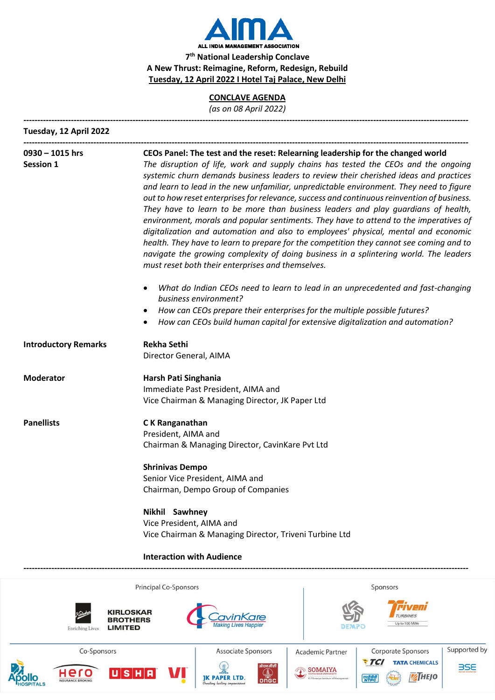

## **CONCLAVE AGENDA**

*(as on 08 April 2022)*

| Tuesday, 12 April 2022                               |                                                                                                                                                                                                                                                                                                                                                                                                                                                                                                                                                                                                                                                                                                                                                                                                                                                                                                                                                                                                                                                                                                                                                                                                                                                           |  |
|------------------------------------------------------|-----------------------------------------------------------------------------------------------------------------------------------------------------------------------------------------------------------------------------------------------------------------------------------------------------------------------------------------------------------------------------------------------------------------------------------------------------------------------------------------------------------------------------------------------------------------------------------------------------------------------------------------------------------------------------------------------------------------------------------------------------------------------------------------------------------------------------------------------------------------------------------------------------------------------------------------------------------------------------------------------------------------------------------------------------------------------------------------------------------------------------------------------------------------------------------------------------------------------------------------------------------|--|
| $0930 - 1015$ hrs<br><b>Session 1</b>                | CEOs Panel: The test and the reset: Relearning leadership for the changed world<br>The disruption of life, work and supply chains has tested the CEOs and the ongoing<br>systemic churn demands business leaders to review their cherished ideas and practices<br>and learn to lead in the new unfamiliar, unpredictable environment. They need to figure<br>out to how reset enterprises for relevance, success and continuous reinvention of business.<br>They have to learn to be more than business leaders and play guardians of health,<br>environment, morals and popular sentiments. They have to attend to the imperatives of<br>digitalization and automation and also to employees' physical, mental and economic<br>health. They have to learn to prepare for the competition they cannot see coming and to<br>navigate the growing complexity of doing business in a splintering world. The leaders<br>must reset both their enterprises and themselves.<br>What do Indian CEOs need to learn to lead in an unprecedented and fast-changing<br>٠<br>business environment?<br>How can CEOs prepare their enterprises for the multiple possible futures?<br>٠<br>How can CEOs build human capital for extensive digitalization and automation? |  |
| <b>Introductory Remarks</b>                          | <b>Rekha Sethi</b><br>Director General, AIMA                                                                                                                                                                                                                                                                                                                                                                                                                                                                                                                                                                                                                                                                                                                                                                                                                                                                                                                                                                                                                                                                                                                                                                                                              |  |
| <b>Moderator</b>                                     | Harsh Pati Singhania<br>Immediate Past President, AIMA and<br>Vice Chairman & Managing Director, JK Paper Ltd                                                                                                                                                                                                                                                                                                                                                                                                                                                                                                                                                                                                                                                                                                                                                                                                                                                                                                                                                                                                                                                                                                                                             |  |
| <b>Panellists</b>                                    | C K Ranganathan<br>President, AIMA and<br>Chairman & Managing Director, CavinKare Pvt Ltd                                                                                                                                                                                                                                                                                                                                                                                                                                                                                                                                                                                                                                                                                                                                                                                                                                                                                                                                                                                                                                                                                                                                                                 |  |
|                                                      | <b>Shrinivas Dempo</b><br>Senior Vice President, AIMA and<br>Chairman, Dempo Group of Companies                                                                                                                                                                                                                                                                                                                                                                                                                                                                                                                                                                                                                                                                                                                                                                                                                                                                                                                                                                                                                                                                                                                                                           |  |
|                                                      | Nikhil Sawhney<br>Vice President, AIMA and<br>Vice Chairman & Managing Director, Triveni Turbine Ltd                                                                                                                                                                                                                                                                                                                                                                                                                                                                                                                                                                                                                                                                                                                                                                                                                                                                                                                                                                                                                                                                                                                                                      |  |
|                                                      | <b>Interaction with Audience</b>                                                                                                                                                                                                                                                                                                                                                                                                                                                                                                                                                                                                                                                                                                                                                                                                                                                                                                                                                                                                                                                                                                                                                                                                                          |  |
|                                                      | Principal Co-Sponsors<br>Sponsors                                                                                                                                                                                                                                                                                                                                                                                                                                                                                                                                                                                                                                                                                                                                                                                                                                                                                                                                                                                                                                                                                                                                                                                                                         |  |
| <b>LIMITED</b><br><b>Enriching Lives</b>             | KIRLOSKAR<br><b>BROTHERS</b><br>Up to 100 MWe                                                                                                                                                                                                                                                                                                                                                                                                                                                                                                                                                                                                                                                                                                                                                                                                                                                                                                                                                                                                                                                                                                                                                                                                             |  |
| Co-Sponsors                                          | Supported by<br>Corporate Sponsors<br>Associate Sponsors<br><b>Academic Partner</b><br><b>TCI</b><br><b>TATA CHEMICALS</b>                                                                                                                                                                                                                                                                                                                                                                                                                                                                                                                                                                                                                                                                                                                                                                                                                                                                                                                                                                                                                                                                                                                                |  |
| Hero<br><b>INSURANCE BROKING</b><br><b>IOSPITALS</b> | प्रोएन जीसी<br><b>BSE</b><br><b>SOMAIYA</b><br> U S H R<br>$\mathbb{Q}$ ongc<br><b>ZHEJO</b><br>एनवीपीसी                                                                                                                                                                                                                                                                                                                                                                                                                                                                                                                                                                                                                                                                                                                                                                                                                                                                                                                                                                                                                                                                                                                                                  |  |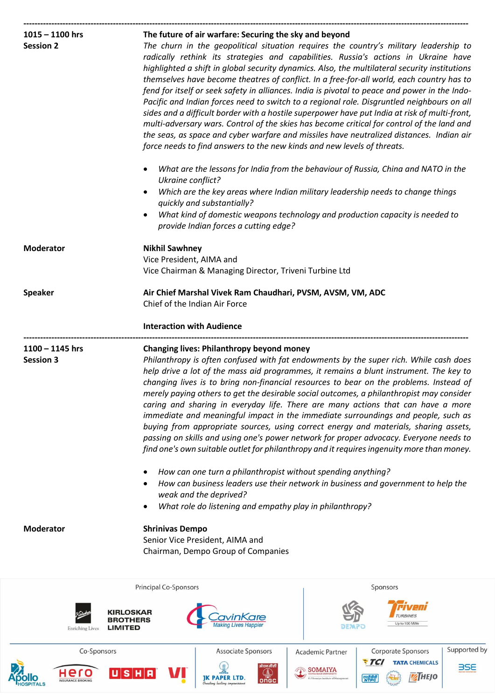| $1015 - 1100$ hrs                     | The future of air warfare: Securing the sky and beyond                                                                                                                                                                                                                                                                                                                                                                                                                                                                                                                                                                                                                                                                                                                                                                                                                                                                                                                                                                                                                  |  |
|---------------------------------------|-------------------------------------------------------------------------------------------------------------------------------------------------------------------------------------------------------------------------------------------------------------------------------------------------------------------------------------------------------------------------------------------------------------------------------------------------------------------------------------------------------------------------------------------------------------------------------------------------------------------------------------------------------------------------------------------------------------------------------------------------------------------------------------------------------------------------------------------------------------------------------------------------------------------------------------------------------------------------------------------------------------------------------------------------------------------------|--|
| <b>Session 2</b>                      | The churn in the geopolitical situation requires the country's military leadership to<br>radically rethink its strategies and capabilities. Russia's actions in Ukraine have<br>highlighted a shift in global security dynamics. Also, the multilateral security institutions<br>themselves have become theatres of conflict. In a free-for-all world, each country has to<br>fend for itself or seek safety in alliances. India is pivotal to peace and power in the Indo-<br>Pacific and Indian forces need to switch to a regional role. Disgruntled neighbours on all<br>sides and a difficult border with a hostile superpower have put India at risk of multi-front,<br>multi-adversary wars. Control of the skies has become critical for control of the land and<br>the seas, as space and cyber warfare and missiles have neutralized distances. Indian air<br>force needs to find answers to the new kinds and new levels of threats.<br>What are the lessons for India from the behaviour of Russia, China and NATO in the<br>$\bullet$<br>Ukraine conflict? |  |
|                                       | Which are the key areas where Indian military leadership needs to change things<br>$\bullet$<br>quickly and substantially?<br>What kind of domestic weapons technology and production capacity is needed to<br>$\bullet$<br>provide Indian forces a cutting edge?                                                                                                                                                                                                                                                                                                                                                                                                                                                                                                                                                                                                                                                                                                                                                                                                       |  |
| <b>Moderator</b>                      | <b>Nikhil Sawhney</b><br>Vice President, AIMA and<br>Vice Chairman & Managing Director, Triveni Turbine Ltd                                                                                                                                                                                                                                                                                                                                                                                                                                                                                                                                                                                                                                                                                                                                                                                                                                                                                                                                                             |  |
| <b>Speaker</b>                        | Air Chief Marshal Vivek Ram Chaudhari, PVSM, AVSM, VM, ADC<br>Chief of the Indian Air Force<br><b>Interaction with Audience</b>                                                                                                                                                                                                                                                                                                                                                                                                                                                                                                                                                                                                                                                                                                                                                                                                                                                                                                                                         |  |
| $1100 - 1145$ hrs<br><b>Session 3</b> | <b>Changing lives: Philanthropy beyond money</b><br>Philanthropy is often confused with fat endowments by the super rich. While cash does<br>help drive a lot of the mass aid programmes, it remains a blunt instrument. The key to<br>changing lives is to bring non-financial resources to bear on the problems. Instead of<br>merely paying others to get the desirable social outcomes, a philanthropist may consider<br>caring and sharing in everyday life. There are many actions that can have a more<br>immediate and meaningful impact in the immediate surroundings and people, such as<br>buying from appropriate sources, using correct energy and materials, sharing assets,<br>passing on skills and using one's power network for proper advocacy. Everyone needs to<br>find one's own suitable outlet for philanthropy and it requires ingenuity more than money.                                                                                                                                                                                      |  |
|                                       | How can one turn a philanthropist without spending anything?<br>$\bullet$<br>How can business leaders use their network in business and government to help the<br>weak and the deprived?<br>What role do listening and empathy play in philanthropy?<br>$\bullet$                                                                                                                                                                                                                                                                                                                                                                                                                                                                                                                                                                                                                                                                                                                                                                                                       |  |
| <b>Moderator</b>                      | <b>Shrinivas Dempo</b><br>Senior Vice President, AIMA and<br>Chairman, Dempo Group of Companies                                                                                                                                                                                                                                                                                                                                                                                                                                                                                                                                                                                                                                                                                                                                                                                                                                                                                                                                                                         |  |
|                                       | Principal Co-Sponsors<br>Sponsors                                                                                                                                                                                                                                                                                                                                                                                                                                                                                                                                                                                                                                                                                                                                                                                                                                                                                                                                                                                                                                       |  |
|                                       |                                                                                                                                                                                                                                                                                                                                                                                                                                                                                                                                                                                                                                                                                                                                                                                                                                                                                                                                                                                                                                                                         |  |
| <b>Enriching Lives</b>                | KIRLOSKAR<br><b>TURBINES</b><br><b>BROTHERS</b><br>Up to 100 MWe<br>LIMITED                                                                                                                                                                                                                                                                                                                                                                                                                                                                                                                                                                                                                                                                                                                                                                                                                                                                                                                                                                                             |  |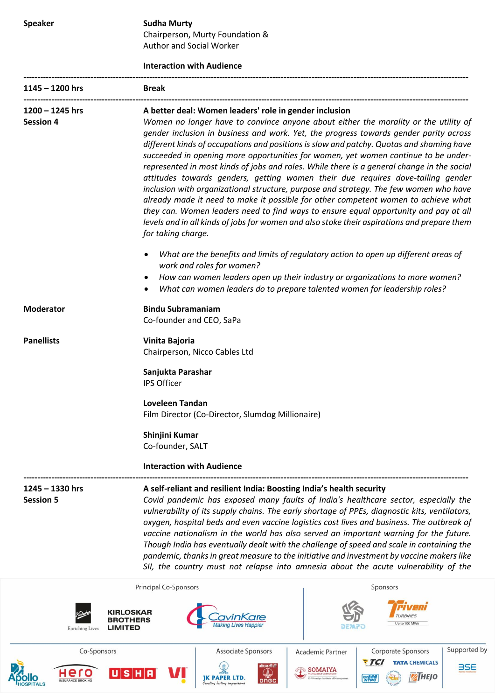**Speaker Sudha Murty** Chairperson, Murty Foundation & Author and Social Worker

## **Interaction with Audience**

| $1145 - 1200$ hrs                                                                                                                                                                                                                                                                                                                                                                                                                                                                                                                                                                                                                                                                                                                                                            | <b>Break</b>                                                                                                                                                                                                                                                                                                                                                                                                                                                                                                                                                                                                                                                                                                                                                                                                                                                                                                                                                                                          |  |
|------------------------------------------------------------------------------------------------------------------------------------------------------------------------------------------------------------------------------------------------------------------------------------------------------------------------------------------------------------------------------------------------------------------------------------------------------------------------------------------------------------------------------------------------------------------------------------------------------------------------------------------------------------------------------------------------------------------------------------------------------------------------------|-------------------------------------------------------------------------------------------------------------------------------------------------------------------------------------------------------------------------------------------------------------------------------------------------------------------------------------------------------------------------------------------------------------------------------------------------------------------------------------------------------------------------------------------------------------------------------------------------------------------------------------------------------------------------------------------------------------------------------------------------------------------------------------------------------------------------------------------------------------------------------------------------------------------------------------------------------------------------------------------------------|--|
| $1200 - 1245$ hrs<br><b>Session 4</b>                                                                                                                                                                                                                                                                                                                                                                                                                                                                                                                                                                                                                                                                                                                                        | A better deal: Women leaders' role in gender inclusion<br>Women no longer have to convince anyone about either the morality or the utility of<br>gender inclusion in business and work. Yet, the progress towards gender parity across<br>different kinds of occupations and positions is slow and patchy. Quotas and shaming have<br>succeeded in opening more opportunities for women, yet women continue to be under-<br>represented in most kinds of jobs and roles. While there is a general change in the social<br>attitudes towards genders, getting women their due requires dove-tailing gender<br>inclusion with organizational structure, purpose and strategy. The few women who have<br>already made it need to make it possible for other competent women to achieve what<br>they can. Women leaders need to find ways to ensure equal opportunity and pay at all<br>levels and in all kinds of jobs for women and also stoke their aspirations and prepare them<br>for taking charge. |  |
|                                                                                                                                                                                                                                                                                                                                                                                                                                                                                                                                                                                                                                                                                                                                                                              | What are the benefits and limits of regulatory action to open up different areas of<br>$\bullet$<br>work and roles for women?<br>How can women leaders open up their industry or organizations to more women?<br>What can women leaders do to prepare talented women for leadership roles?                                                                                                                                                                                                                                                                                                                                                                                                                                                                                                                                                                                                                                                                                                            |  |
| <b>Moderator</b>                                                                                                                                                                                                                                                                                                                                                                                                                                                                                                                                                                                                                                                                                                                                                             | <b>Bindu Subramaniam</b><br>Co-founder and CEO, SaPa                                                                                                                                                                                                                                                                                                                                                                                                                                                                                                                                                                                                                                                                                                                                                                                                                                                                                                                                                  |  |
| <b>Panellists</b>                                                                                                                                                                                                                                                                                                                                                                                                                                                                                                                                                                                                                                                                                                                                                            | Vinita Bajoria<br>Chairperson, Nicco Cables Ltd                                                                                                                                                                                                                                                                                                                                                                                                                                                                                                                                                                                                                                                                                                                                                                                                                                                                                                                                                       |  |
|                                                                                                                                                                                                                                                                                                                                                                                                                                                                                                                                                                                                                                                                                                                                                                              | Sanjukta Parashar<br><b>IPS Officer</b>                                                                                                                                                                                                                                                                                                                                                                                                                                                                                                                                                                                                                                                                                                                                                                                                                                                                                                                                                               |  |
|                                                                                                                                                                                                                                                                                                                                                                                                                                                                                                                                                                                                                                                                                                                                                                              | <b>Loveleen Tandan</b><br>Film Director (Co-Director, Slumdog Millionaire)                                                                                                                                                                                                                                                                                                                                                                                                                                                                                                                                                                                                                                                                                                                                                                                                                                                                                                                            |  |
|                                                                                                                                                                                                                                                                                                                                                                                                                                                                                                                                                                                                                                                                                                                                                                              | Shinjini Kumar<br>Co-founder, SALT                                                                                                                                                                                                                                                                                                                                                                                                                                                                                                                                                                                                                                                                                                                                                                                                                                                                                                                                                                    |  |
|                                                                                                                                                                                                                                                                                                                                                                                                                                                                                                                                                                                                                                                                                                                                                                              | <b>Interaction with Audience</b>                                                                                                                                                                                                                                                                                                                                                                                                                                                                                                                                                                                                                                                                                                                                                                                                                                                                                                                                                                      |  |
| $1245 - 1330$ hrs<br>A self-reliant and resilient India: Boosting India's health security<br>Covid pandemic has exposed many faults of India's healthcare sector, especially the<br><b>Session 5</b><br>vulnerability of its supply chains. The early shortage of PPEs, diagnostic kits, ventilators,<br>oxygen, hospital beds and even vaccine logistics cost lives and business. The outbreak of<br>vaccine nationalism in the world has also served an important warning for the future.<br>Though India has eventually dealt with the challenge of speed and scale in containing the<br>pandemic, thanks in great measure to the initiative and investment by vaccine makers like<br>SII, the country must not relapse into amnesia about the acute vulnerability of the |                                                                                                                                                                                                                                                                                                                                                                                                                                                                                                                                                                                                                                                                                                                                                                                                                                                                                                                                                                                                       |  |
|                                                                                                                                                                                                                                                                                                                                                                                                                                                                                                                                                                                                                                                                                                                                                                              | Principal Co-Sponsors<br>Sponsors                                                                                                                                                                                                                                                                                                                                                                                                                                                                                                                                                                                                                                                                                                                                                                                                                                                                                                                                                                     |  |
| <b>Enriching Lives</b>                                                                                                                                                                                                                                                                                                                                                                                                                                                                                                                                                                                                                                                                                                                                                       | KIRLOSKAR<br><b>TURBINES</b><br><b>BROTHERS</b><br>Up to 100 MWe<br><b>LIMITED</b>                                                                                                                                                                                                                                                                                                                                                                                                                                                                                                                                                                                                                                                                                                                                                                                                                                                                                                                    |  |
| Co-Sponsors                                                                                                                                                                                                                                                                                                                                                                                                                                                                                                                                                                                                                                                                                                                                                                  | Supported by<br>Associate Sponsors<br>Corporate Sponsors<br><b>Academic Partner</b><br>77                                                                                                                                                                                                                                                                                                                                                                                                                                                                                                                                                                                                                                                                                                                                                                                                                                                                                                             |  |

**JK PAPER LTD.** 

onco

**THEJO** 

एनटीपीसी

 $U$ SHA

Hero

**Ollo**<br>Ospitals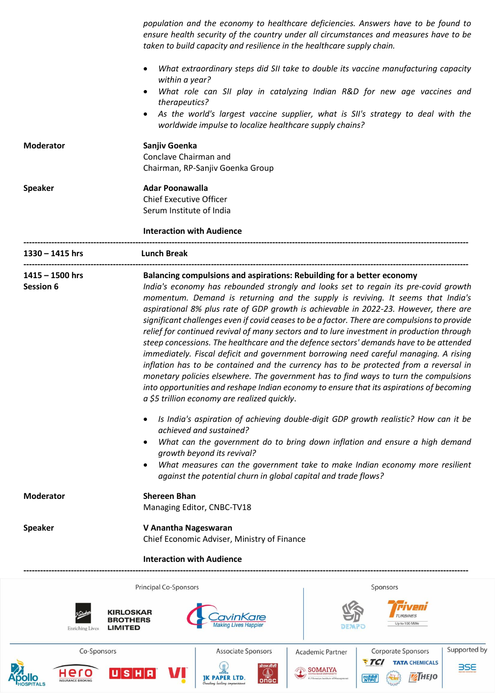|                                                | population and the economy to healthcare deficiencies. Answers have to be found to<br>ensure health security of the country under all circumstances and measures have to be<br>taken to build capacity and resilience in the healthcare supply chain.                                                                                                                                                                                                                                                                                                                                                                                                                                                                                                                                                                                                                                                                                                                                                                                                                                                                                                                                                                                                                                                                                                                                                                                                                       |
|------------------------------------------------|-----------------------------------------------------------------------------------------------------------------------------------------------------------------------------------------------------------------------------------------------------------------------------------------------------------------------------------------------------------------------------------------------------------------------------------------------------------------------------------------------------------------------------------------------------------------------------------------------------------------------------------------------------------------------------------------------------------------------------------------------------------------------------------------------------------------------------------------------------------------------------------------------------------------------------------------------------------------------------------------------------------------------------------------------------------------------------------------------------------------------------------------------------------------------------------------------------------------------------------------------------------------------------------------------------------------------------------------------------------------------------------------------------------------------------------------------------------------------------|
|                                                | What extraordinary steps did SII take to double its vaccine manufacturing capacity<br>$\bullet$<br>within a year?                                                                                                                                                                                                                                                                                                                                                                                                                                                                                                                                                                                                                                                                                                                                                                                                                                                                                                                                                                                                                                                                                                                                                                                                                                                                                                                                                           |
|                                                | What role can SII play in catalyzing Indian R&D for new age vaccines and<br>٠<br>therapeutics?                                                                                                                                                                                                                                                                                                                                                                                                                                                                                                                                                                                                                                                                                                                                                                                                                                                                                                                                                                                                                                                                                                                                                                                                                                                                                                                                                                              |
|                                                | As the world's largest vaccine supplier, what is SII's strategy to deal with the<br>$\bullet$<br>worldwide impulse to localize healthcare supply chains?                                                                                                                                                                                                                                                                                                                                                                                                                                                                                                                                                                                                                                                                                                                                                                                                                                                                                                                                                                                                                                                                                                                                                                                                                                                                                                                    |
| <b>Moderator</b>                               | Sanjiv Goenka<br>Conclave Chairman and<br>Chairman, RP-Sanjiv Goenka Group                                                                                                                                                                                                                                                                                                                                                                                                                                                                                                                                                                                                                                                                                                                                                                                                                                                                                                                                                                                                                                                                                                                                                                                                                                                                                                                                                                                                  |
| <b>Speaker</b>                                 | <b>Adar Poonawalla</b>                                                                                                                                                                                                                                                                                                                                                                                                                                                                                                                                                                                                                                                                                                                                                                                                                                                                                                                                                                                                                                                                                                                                                                                                                                                                                                                                                                                                                                                      |
|                                                | <b>Chief Executive Officer</b><br>Serum Institute of India                                                                                                                                                                                                                                                                                                                                                                                                                                                                                                                                                                                                                                                                                                                                                                                                                                                                                                                                                                                                                                                                                                                                                                                                                                                                                                                                                                                                                  |
|                                                | <b>Interaction with Audience</b>                                                                                                                                                                                                                                                                                                                                                                                                                                                                                                                                                                                                                                                                                                                                                                                                                                                                                                                                                                                                                                                                                                                                                                                                                                                                                                                                                                                                                                            |
| 1330 - 1415 hrs                                | <b>Lunch Break</b>                                                                                                                                                                                                                                                                                                                                                                                                                                                                                                                                                                                                                                                                                                                                                                                                                                                                                                                                                                                                                                                                                                                                                                                                                                                                                                                                                                                                                                                          |
| $1415 - 1500$ hrs<br><b>Session 6</b>          | Balancing compulsions and aspirations: Rebuilding for a better economy<br>India's economy has rebounded strongly and looks set to regain its pre-covid growth<br>momentum. Demand is returning and the supply is reviving. It seems that India's<br>aspirational 8% plus rate of GDP growth is achievable in 2022-23. However, there are<br>significant challenges even if covid ceases to be a factor. There are compulsions to provide<br>relief for continued revival of many sectors and to lure investment in production through<br>steep concessions. The healthcare and the defence sectors' demands have to be attended<br>immediately. Fiscal deficit and government borrowing need careful managing. A rising<br>inflation has to be contained and the currency has to be protected from a reversal in<br>monetary policies elsewhere. The government has to find ways to turn the compulsions<br>into opportunities and reshape Indian economy to ensure that its aspirations of becoming<br>a \$5 trillion economy are realized quickly.<br>Is India's aspiration of achieving double-digit GDP growth realistic? How can it be<br>$\bullet$<br>achieved and sustained?<br>What can the government do to bring down inflation and ensure a high demand<br>$\bullet$<br>growth beyond its revival?<br>What measures can the government take to make Indian economy more resilient<br>$\bullet$<br>against the potential churn in global capital and trade flows? |
| <b>Moderator</b>                               | <b>Shereen Bhan</b><br>Managing Editor, CNBC-TV18                                                                                                                                                                                                                                                                                                                                                                                                                                                                                                                                                                                                                                                                                                                                                                                                                                                                                                                                                                                                                                                                                                                                                                                                                                                                                                                                                                                                                           |
| <b>Speaker</b>                                 | V Anantha Nageswaran<br>Chief Economic Adviser, Ministry of Finance                                                                                                                                                                                                                                                                                                                                                                                                                                                                                                                                                                                                                                                                                                                                                                                                                                                                                                                                                                                                                                                                                                                                                                                                                                                                                                                                                                                                         |
|                                                | <b>Interaction with Audience</b>                                                                                                                                                                                                                                                                                                                                                                                                                                                                                                                                                                                                                                                                                                                                                                                                                                                                                                                                                                                                                                                                                                                                                                                                                                                                                                                                                                                                                                            |
|                                                | Principal Co-Sponsors<br>Sponsors                                                                                                                                                                                                                                                                                                                                                                                                                                                                                                                                                                                                                                                                                                                                                                                                                                                                                                                                                                                                                                                                                                                                                                                                                                                                                                                                                                                                                                           |
| <b>Enriching Lives</b>                         | KIRLOSKAR<br><b>TURBINES</b><br><b>BROTHERS</b><br>Up to 100 MWe<br><b>LIMITED</b>                                                                                                                                                                                                                                                                                                                                                                                                                                                                                                                                                                                                                                                                                                                                                                                                                                                                                                                                                                                                                                                                                                                                                                                                                                                                                                                                                                                          |
| Co-Sponsors<br>Hero<br><b>NSURANCE BROKING</b> | Supported by<br><b>Associate Sponsors</b><br>Corporate Sponsors<br><b>Academic Partner</b><br>7C<br><b>TATA CHEMICALS</b><br>औएन जी सें<br><b>BSE</b><br><b>SOMAIYA</b><br><b>S</b><br><b>ATHEJO</b><br>ण्नवीपीस्<br>NTPC<br>ongc<br>maiva Institute of Mar                                                                                                                                                                                                                                                                                                                                                                                                                                                                                                                                                                                                                                                                                                                                                                                                                                                                                                                                                                                                                                                                                                                                                                                                                 |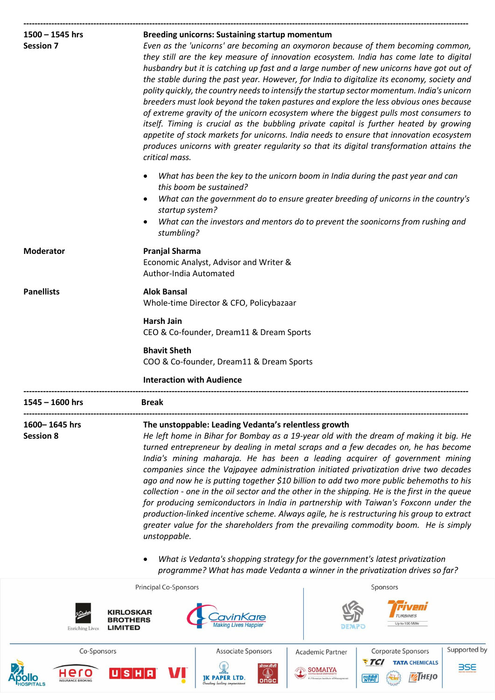| $1500 - 1545$ hrs      | <b>Breeding unicorns: Sustaining startup momentum</b>                                                                                                                      |                                                                                                                                                                                 |  |  |  |
|------------------------|----------------------------------------------------------------------------------------------------------------------------------------------------------------------------|---------------------------------------------------------------------------------------------------------------------------------------------------------------------------------|--|--|--|
| <b>Session 7</b>       | Even as the 'unicorns' are becoming an oxymoron because of them becoming common,<br>they still are the key measure of innovation ecosystem. India has come late to digital |                                                                                                                                                                                 |  |  |  |
|                        |                                                                                                                                                                            |                                                                                                                                                                                 |  |  |  |
|                        | the stable during the past year. However, for India to digitalize its economy, society and                                                                                 |                                                                                                                                                                                 |  |  |  |
|                        |                                                                                                                                                                            | polity quickly, the country needs to intensify the startup sector momentum. India's unicorn                                                                                     |  |  |  |
|                        |                                                                                                                                                                            | breeders must look beyond the taken pastures and explore the less obvious ones because<br>of extreme gravity of the unicorn ecosystem where the biggest pulls most consumers to |  |  |  |
|                        | itself. Timing is crucial as the bubbling private capital is further heated by growing                                                                                     |                                                                                                                                                                                 |  |  |  |
|                        |                                                                                                                                                                            | appetite of stock markets for unicorns. India needs to ensure that innovation ecosystem                                                                                         |  |  |  |
|                        |                                                                                                                                                                            | produces unicorns with greater regularity so that its digital transformation attains the                                                                                        |  |  |  |
|                        | critical mass.                                                                                                                                                             |                                                                                                                                                                                 |  |  |  |
|                        | $\bullet$<br>this boom be sustained?                                                                                                                                       | What has been the key to the unicorn boom in India during the past year and can                                                                                                 |  |  |  |
|                        | $\bullet$<br>startup system?                                                                                                                                               | What can the government do to ensure greater breeding of unicorns in the country's                                                                                              |  |  |  |
|                        | stumbling?                                                                                                                                                                 | What can the investors and mentors do to prevent the soonicorns from rushing and                                                                                                |  |  |  |
| <b>Moderator</b>       | <b>Pranjal Sharma</b>                                                                                                                                                      |                                                                                                                                                                                 |  |  |  |
|                        |                                                                                                                                                                            | Economic Analyst, Advisor and Writer &                                                                                                                                          |  |  |  |
|                        | Author-India Automated                                                                                                                                                     |                                                                                                                                                                                 |  |  |  |
| <b>Panellists</b>      | <b>Alok Bansal</b>                                                                                                                                                         |                                                                                                                                                                                 |  |  |  |
|                        | Whole-time Director & CFO, Policybazaar                                                                                                                                    |                                                                                                                                                                                 |  |  |  |
|                        |                                                                                                                                                                            | <b>Harsh Jain</b><br>CEO & Co-founder, Dream11 & Dream Sports<br><b>Bhavit Sheth</b><br>COO & Co-founder, Dream11 & Dream Sports                                                |  |  |  |
|                        |                                                                                                                                                                            |                                                                                                                                                                                 |  |  |  |
|                        | <b>Interaction with Audience</b>                                                                                                                                           |                                                                                                                                                                                 |  |  |  |
| 1545 - 1600 hrs        | <b>Break</b>                                                                                                                                                               |                                                                                                                                                                                 |  |  |  |
| 1600– 1645 hrs         | The unstoppable: Leading Vedanta's relentless growth                                                                                                                       |                                                                                                                                                                                 |  |  |  |
| <b>Session 8</b>       |                                                                                                                                                                            | He left home in Bihar for Bombay as a 19-year old with the dream of making it big. He                                                                                           |  |  |  |
|                        | turned entrepreneur by dealing in metal scraps and a few decades on, he has become                                                                                         |                                                                                                                                                                                 |  |  |  |
|                        | India's mining maharaja. He has been a leading acquirer of government mining<br>companies since the Vajpayee administration initiated privatization drive two decades      |                                                                                                                                                                                 |  |  |  |
|                        | ago and now he is putting together \$10 billion to add two more public behemoths to his                                                                                    |                                                                                                                                                                                 |  |  |  |
|                        | collection - one in the oil sector and the other in the shipping. He is the first in the queue                                                                             |                                                                                                                                                                                 |  |  |  |
|                        |                                                                                                                                                                            | for producing semiconductors in India in partnership with Taiwan's Foxconn under the                                                                                            |  |  |  |
|                        |                                                                                                                                                                            | production-linked incentive scheme. Always agile, he is restructuring his group to extract                                                                                      |  |  |  |
|                        |                                                                                                                                                                            | greater value for the shareholders from the prevailing commodity boom. He is simply                                                                                             |  |  |  |
|                        | unstoppable.                                                                                                                                                               |                                                                                                                                                                                 |  |  |  |
|                        |                                                                                                                                                                            | What is Vedanta's shopping strategy for the government's latest privatization<br>programme? What has made Vedanta a winner in the privatization drives so far?                  |  |  |  |
|                        | Principal Co-Sponsors                                                                                                                                                      | Sponsors                                                                                                                                                                        |  |  |  |
|                        |                                                                                                                                                                            |                                                                                                                                                                                 |  |  |  |
|                        |                                                                                                                                                                            | <b>URBINES</b>                                                                                                                                                                  |  |  |  |
| <b>Enriching Lives</b> | LIMITED                                                                                                                                                                    | Up to 100 MWe                                                                                                                                                                   |  |  |  |

Co-Sponsors Associate Sponsors Corporate Sponsors Academic Partner **FTCI** TATA CHEMICALS  $\mathbb{R}$ <br>JK PAPER LTD.  $\begin{tabular}{|c|c|} \hline \multicolumn{3}{|c|}{SOMAIYA} \\ \hline \multicolumn{3}{|c|}{N.50mm} \\ \hline \multicolumn{3}{|c|}{K.55mm} \\ \hline \multicolumn{3}{|c|}{K.55mm} \\ \hline \multicolumn{3}{|c|}{N.55mm} \\ \hline \multicolumn{3}{|c|}{N.55mm} \\ \hline \multicolumn{3}{|c|}{N.55mm} \\ \hline \multicolumn{3}{|c|}{N.55mm} \\ \hline \multicolumn{3}{|c|}{N.55mm} \\ \hline \multicolumn{3}{|c|}{N.55mm}$  $\frac{1}{\frac{N}{N}}$  $\boxed{\mathsf{U}\,|\,\mathsf{S}\,|\,\mathsf{H}\,}$ ero R  $\mathcal{A}$ ongc एनदीपीसी<br>NTPC

**T**<br>O**llo**<br>OSPITALS



**ATHEJO**